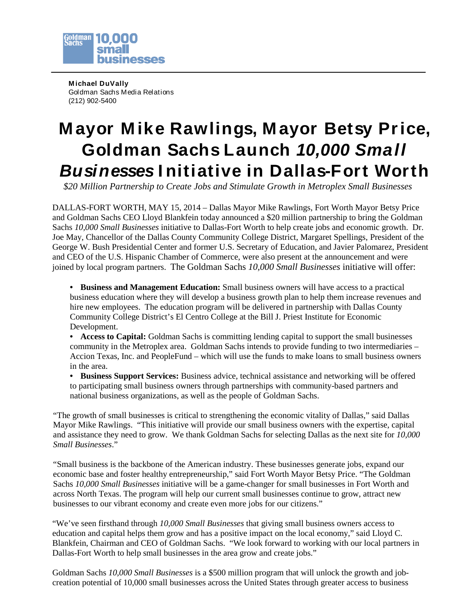

**M ichael DuVally** Goldman Sachs Media Relations (212) 902-5400

## **M ayor M ike Rawlings, M ayor Betsy Price, Goldman Sachs Launch** *10,000 Small Businesses* **I nitiative in Dallas-Fort Worth**

*\$20 Million Partnership to Create Jobs and Stimulate Growth in Metroplex Small Businesses*

DALLAS-FORT WORTH, MAY 15, 2014 – Dallas Mayor Mike Rawlings, Fort Worth Mayor Betsy Price and Goldman Sachs CEO Lloyd Blankfein today announced a \$20 million partnership to bring the Goldman Sachs *10,000 Small Businesses* initiative to Dallas-Fort Worth to help create jobs and economic growth. Dr. Joe May, Chancellor of the Dallas County Community College District, Margaret Spellings, President of the George W. Bush Presidential Center and former U.S. Secretary of Education, and Javier Palomarez, President and CEO of the U.S. Hispanic Chamber of Commerce, were also present at the announcement and were joined by local program partners. The Goldman Sachs *10,000 Small Businesses* initiative will offer:

- **Business and Management Education:** Small business owners will have access to a practical business education where they will develop a business growth plan to help them increase revenues and hire new employees. The education program will be delivered in partnership with Dallas County Community College District's El Centro College at the Bill J. Priest Institute for Economic Development.
- **Access to Capital:** Goldman Sachs is committing lending capital to support the small businesses community in the Metroplex area. Goldman Sachs intends to provide funding to two intermediaries – Accion Texas, Inc. and PeopleFund – which will use the funds to make loans to small business owners in the area.
- **Business Support Services:** Business advice, technical assistance and networking will be offered to participating small business owners through partnerships with community-based partners and national business organizations, as well as the people of Goldman Sachs.

"The growth of small businesses is critical to strengthening the economic vitality of Dallas," said Dallas Mayor Mike Rawlings. "This initiative will provide our small business owners with the expertise, capital and assistance they need to grow. We thank Goldman Sachs for selecting Dallas as the next site for *10,000 Small Businesses*."

"Small business is the backbone of the American industry. These businesses generate jobs, expand our economic base and foster healthy entrepreneurship," said Fort Worth Mayor Betsy Price. "The Goldman Sachs *10,000 Small Businesses* initiative will be a game-changer for small businesses in Fort Worth and across North Texas. The program will help our current small businesses continue to grow, attract new businesses to our vibrant economy and create even more jobs for our citizens."

"We've seen firsthand through *10,000 Small Businesses* that giving small business owners access to education and capital helps them grow and has a positive impact on the local economy," said Lloyd C. Blankfein, Chairman and CEO of Goldman Sachs. "We look forward to working with our local partners in Dallas-Fort Worth to help small businesses in the area grow and create jobs."

Goldman Sachs *10,000 Small Businesses* is a \$500 million program that will unlock the growth and jobcreation potential of 10,000 small businesses across the United States through greater access to business